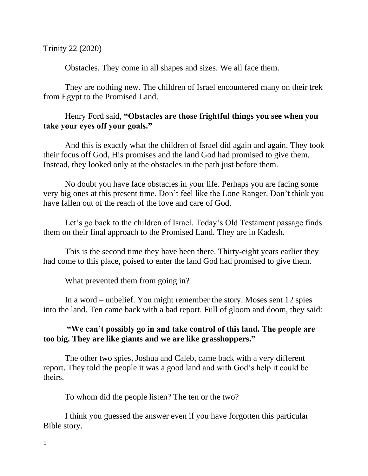Trinity 22 (2020)

Obstacles. They come in all shapes and sizes. We all face them.

They are nothing new. The children of Israel encountered many on their trek from Egypt to the Promised Land.

## Henry Ford said, **"Obstacles are those frightful things you see when you take your eyes off your goals."**

And this is exactly what the children of Israel did again and again. They took their focus off God, His promises and the land God had promised to give them. Instead, they looked only at the obstacles in the path just before them.

No doubt you have face obstacles in your life. Perhaps you are facing some very big ones at this present time. Don't feel like the Lone Ranger. Don't think you have fallen out of the reach of the love and care of God.

Let's go back to the children of Israel. Today's Old Testament passage finds them on their final approach to the Promised Land. They are in Kadesh.

This is the second time they have been there. Thirty-eight years earlier they had come to this place, poised to enter the land God had promised to give them.

What prevented them from going in?

In a word – unbelief. You might remember the story. Moses sent 12 spies into the land. Ten came back with a bad report. Full of gloom and doom, they said:

## **"We can't possibly go in and take control of this land. The people are too big. They are like giants and we are like grasshoppers."**

The other two spies, Joshua and Caleb, came back with a very different report. They told the people it was a good land and with God's help it could be theirs.

To whom did the people listen? The ten or the two?

I think you guessed the answer even if you have forgotten this particular Bible story.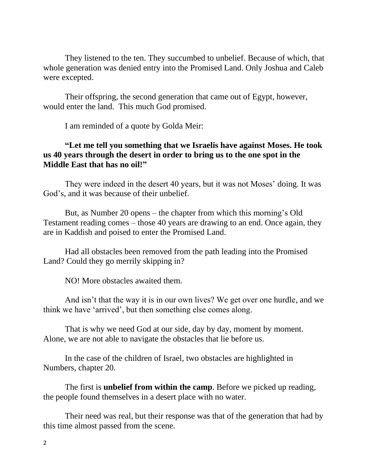They listened to the ten. They succumbed to unbelief. Because of which, that whole generation was denied entry into the Promised Land. Only Joshua and Caleb were excepted.

Their offspring, the second generation that came out of Egypt, however, would enter the land. This much God promised.

I am reminded of a quote by Golda Meir:

## **"Let me tell you something that we Israelis have against [Moses.](https://en.wikiquote.org/wiki/Moses) He took us 40 years through the desert in order to bring us to the one spot in the Middle East that has no oil!"**

They were indeed in the desert 40 years, but it was not Moses' doing. It was God's, and it was because of their unbelief.

But, as Number 20 opens – the chapter from which this morning's Old Testament reading comes – those 40 years are drawing to an end. Once again, they are in Kaddish and poised to enter the Promised Land.

Had all obstacles been removed from the path leading into the Promised Land? Could they go merrily skipping in?

NO! More obstacles awaited them.

And isn't that the way it is in our own lives? We get over one hurdle, and we think we have 'arrived', but then something else comes along.

That is why we need God at our side, day by day, moment by moment. Alone, we are not able to navigate the obstacles that lie before us.

In the case of the children of Israel, two obstacles are highlighted in Numbers, chapter 20.

The first is **unbelief from within the camp**. Before we picked up reading, the people found themselves in a desert place with no water.

Their need was real, but their response was that of the generation that had by this time almost passed from the scene.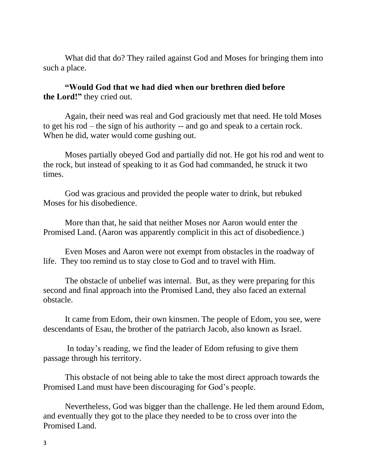What did that do? They railed against God and Moses for bringing them into such a place.

**"Would God that we had died when our brethren died before the Lord!"** they cried out.

Again, their need was real and God graciously met that need. He told Moses to get his rod – the sign of his authority -- and go and speak to a certain rock. When he did, water would come gushing out.

Moses partially obeyed God and partially did not. He got his rod and went to the rock, but instead of speaking to it as God had commanded, he struck it two times.

God was gracious and provided the people water to drink, but rebuked Moses for his disobedience.

More than that, he said that neither Moses nor Aaron would enter the Promised Land. (Aaron was apparently complicit in this act of disobedience.)

Even Moses and Aaron were not exempt from obstacles in the roadway of life. They too remind us to stay close to God and to travel with Him.

The obstacle of unbelief was internal. But, as they were preparing for this second and final approach into the Promised Land, they also faced an external obstacle.

It came from Edom, their own kinsmen. The people of Edom, you see, were descendants of Esau, the brother of the patriarch Jacob, also known as Israel.

In today's reading, we find the leader of Edom refusing to give them passage through his territory.

This obstacle of not being able to take the most direct approach towards the Promised Land must have been discouraging for God's people.

Nevertheless, God was bigger than the challenge. He led them around Edom, and eventually they got to the place they needed to be to cross over into the Promised Land.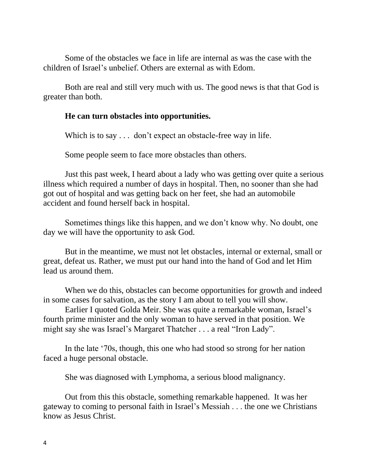Some of the obstacles we face in life are internal as was the case with the children of Israel's unbelief. Others are external as with Edom.

Both are real and still very much with us. The good news is that that God is greater than both.

## **He can turn obstacles into opportunities.**

Which is to say . . . don't expect an obstacle-free way in life.

Some people seem to face more obstacles than others.

Just this past week, I heard about a lady who was getting over quite a serious illness which required a number of days in hospital. Then, no sooner than she had got out of hospital and was getting back on her feet, she had an automobile accident and found herself back in hospital.

Sometimes things like this happen, and we don't know why. No doubt, one day we will have the opportunity to ask God.

But in the meantime, we must not let obstacles, internal or external, small or great, defeat us. Rather, we must put our hand into the hand of God and let Him lead us around them.

When we do this, obstacles can become opportunities for growth and indeed in some cases for salvation, as the story I am about to tell you will show.

Earlier I quoted Golda Meir. She was quite a remarkable woman, Israel's fourth prime minister and the only woman to have served in that position. We might say she was Israel's Margaret Thatcher . . . a real "Iron Lady".

In the late '70s, though, this one who had stood so strong for her nation faced a huge personal obstacle.

She was diagnosed with Lymphoma, a serious blood malignancy.

Out from this this obstacle, something remarkable happened. It was her gateway to coming to personal faith in Israel's Messiah . . . the one we Christians know as Jesus Christ.